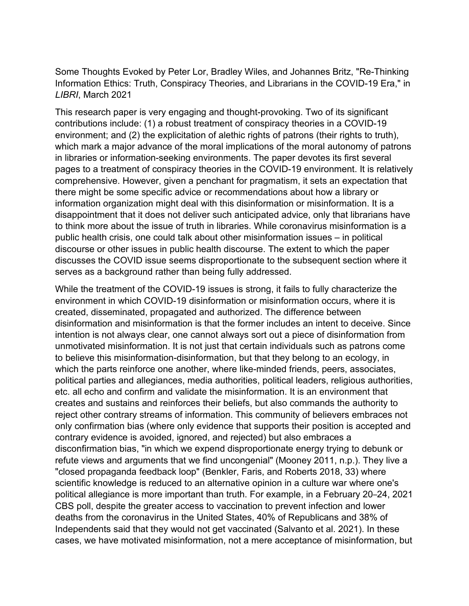Some Thoughts Evoked by Peter Lor, Bradley Wiles, and Johannes Britz, "Re-Thinking Information Ethics: Truth, Conspiracy Theories, and Librarians in the COVID-19 Era," in *LIBRI*, March 2021

This research paper is very engaging and thought-provoking. Two of its significant contributions include: (1) a robust treatment of conspiracy theories in a COVID-19 environment; and (2) the explicitation of alethic rights of patrons (their rights to truth), which mark a major advance of the moral implications of the moral autonomy of patrons in libraries or information-seeking environments. The paper devotes its first several pages to a treatment of conspiracy theories in the COVID-19 environment. It is relatively comprehensive. However, given a penchant for pragmatism, it sets an expectation that there might be some specific advice or recommendations about how a library or information organization might deal with this disinformation or misinformation. It is a disappointment that it does not deliver such anticipated advice, only that librarians have to think more about the issue of truth in libraries. While coronavirus misinformation is a public health crisis, one could talk about other misinformation issues – in political discourse or other issues in public health discourse. The extent to which the paper discusses the COVID issue seems disproportionate to the subsequent section where it serves as a background rather than being fully addressed.

While the treatment of the COVID-19 issues is strong, it fails to fully characterize the environment in which COVID-19 disinformation or misinformation occurs, where it is created, disseminated, propagated and authorized. The difference between disinformation and misinformation is that the former includes an intent to deceive. Since intention is not always clear, one cannot always sort out a piece of disinformation from unmotivated misinformation. It is not just that certain individuals such as patrons come to believe this misinformation-disinformation, but that they belong to an ecology, in which the parts reinforce one another, where like-minded friends, peers, associates, political parties and allegiances, media authorities, political leaders, religious authorities, etc. all echo and confirm and validate the misinformation. It is an environment that creates and sustains and reinforces their beliefs, but also commands the authority to reject other contrary streams of information. This community of believers embraces not only confirmation bias (where only evidence that supports their position is accepted and contrary evidence is avoided, ignored, and rejected) but also embraces a disconfirmation bias, "in which we expend disproportionate energy trying to debunk or refute views and arguments that we find uncongenial" (Mooney 2011, n.p.). They live a "closed propaganda feedback loop" (Benkler, Faris, and Roberts 2018, 33) where scientific knowledge is reduced to an alternative opinion in a culture war where one's political allegiance is more important than truth. For example, in a February 20–24, 2021 CBS poll, despite the greater access to vaccination to prevent infection and lower deaths from the coronavirus in the United States, 40% of Republicans and 38% of Independents said that they would not get vaccinated (Salvanto et al. 2021). In these cases, we have motivated misinformation, not a mere acceptance of misinformation, but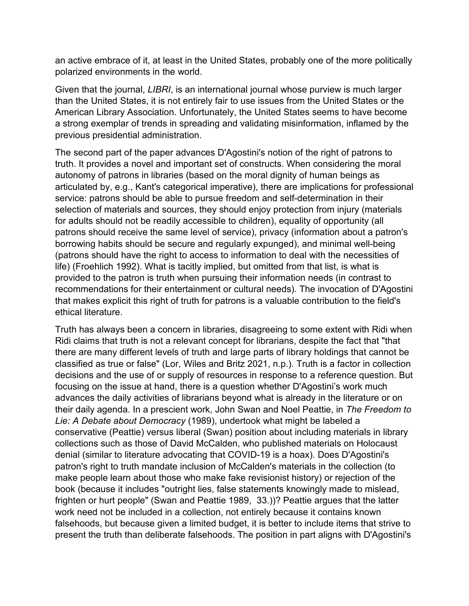an active embrace of it, at least in the United States, probably one of the more politically polarized environments in the world.

Given that the journal, *LIBRI*, is an international journal whose purview is much larger than the United States, it is not entirely fair to use issues from the United States or the American Library Association. Unfortunately, the United States seems to have become a strong exemplar of trends in spreading and validating misinformation, inflamed by the previous presidential administration.

The second part of the paper advances D'Agostini's notion of the right of patrons to truth. It provides a novel and important set of constructs. When considering the moral autonomy of patrons in libraries (based on the moral dignity of human beings as articulated by, e.g., Kant's categorical imperative), there are implications for professional service: patrons should be able to pursue freedom and self-determination in their selection of materials and sources, they should enjoy protection from injury (materials for adults should not be readily accessible to children), equality of opportunity (all patrons should receive the same level of service), privacy (information about a patron's borrowing habits should be secure and regularly expunged), and minimal well-being (patrons should have the right to access to information to deal with the necessities of life) (Froehlich 1992). What is tacitly implied, but omitted from that list, is what is provided to the patron is truth when pursuing their information needs (in contrast to recommendations for their entertainment or cultural needs). The invocation of D'Agostini that makes explicit this right of truth for patrons is a valuable contribution to the field's ethical literature.

Truth has always been a concern in libraries, disagreeing to some extent with Ridi when Ridi claims that truth is not a relevant concept for librarians, despite the fact that "that there are many different levels of truth and large parts of library holdings that cannot be classified as true or false" (Lor, Wiles and Britz 2021, n.p.). Truth is a factor in collection decisions and the use of or supply of resources in response to a reference question. But focusing on the issue at hand, there is a question whether D'Agostini's work much advances the daily activities of librarians beyond what is already in the literature or on their daily agenda. In a prescient work, John Swan and Noel Peattie, in *The Freedom to Lie: A Debate about Democracy* (1989), undertook what might be labeled a conservative (Peattie) versus liberal (Swan) position about including materials in library collections such as those of David McCalden, who published materials on Holocaust denial (similar to literature advocating that COVID-19 is a hoax). Does D'Agostini's patron's right to truth mandate inclusion of McCalden's materials in the collection (to make people learn about those who make fake revisionist history) or rejection of the book (because it includes "outright lies, false statements knowingly made to mislead, frighten or hurt people" (Swan and Peattie 1989, 33.))? Peattie argues that the latter work need not be included in a collection, not entirely because it contains known falsehoods, but because given a limited budget, it is better to include items that strive to present the truth than deliberate falsehoods. The position in part aligns with D'Agostini's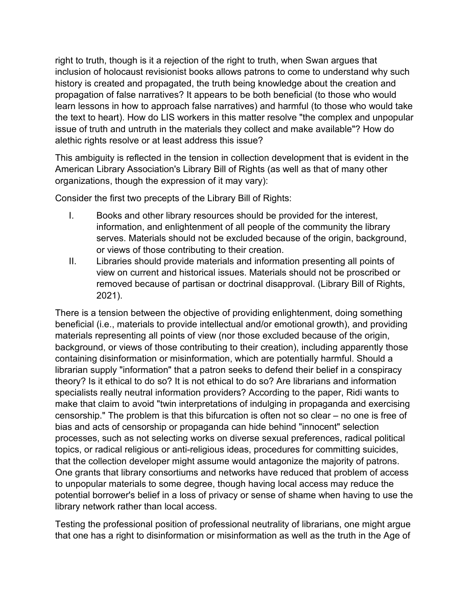right to truth, though is it a rejection of the right to truth, when Swan argues that inclusion of holocaust revisionist books allows patrons to come to understand why such history is created and propagated, the truth being knowledge about the creation and propagation of false narratives? It appears to be both beneficial (to those who would learn lessons in how to approach false narratives) and harmful (to those who would take the text to heart). How do LIS workers in this matter resolve "the complex and unpopular issue of truth and untruth in the materials they collect and make available"? How do alethic rights resolve or at least address this issue?

This ambiguity is reflected in the tension in collection development that is evident in the American Library Association's Library Bill of Rights (as well as that of many other organizations, though the expression of it may vary):

Consider the first two precepts of the Library Bill of Rights:

- I. Books and other library resources should be provided for the interest, information, and enlightenment of all people of the community the library serves. Materials should not be excluded because of the origin, background, or views of those contributing to their creation.
- II. Libraries should provide materials and information presenting all points of view on current and historical issues. Materials should not be proscribed or removed because of partisan or doctrinal disapproval. (Library Bill of Rights, 2021).

There is a tension between the objective of providing enlightenment, doing something beneficial (i.e., materials to provide intellectual and/or emotional growth), and providing materials representing all points of view (nor those excluded because of the origin, background, or views of those contributing to their creation), including apparently those containing disinformation or misinformation, which are potentially harmful. Should a librarian supply "information" that a patron seeks to defend their belief in a conspiracy theory? Is it ethical to do so? It is not ethical to do so? Are librarians and information specialists really neutral information providers? According to the paper, Ridi wants to make that claim to avoid "twin interpretations of indulging in propaganda and exercising censorship." The problem is that this bifurcation is often not so clear – no one is free of bias and acts of censorship or propaganda can hide behind "innocent" selection processes, such as not selecting works on diverse sexual preferences, radical political topics, or radical religious or anti-religious ideas, procedures for committing suicides, that the collection developer might assume would antagonize the majority of patrons. One grants that library consortiums and networks have reduced that problem of access to unpopular materials to some degree, though having local access may reduce the potential borrower's belief in a loss of privacy or sense of shame when having to use the library network rather than local access.

Testing the professional position of professional neutrality of librarians, one might argue that one has a right to disinformation or misinformation as well as the truth in the Age of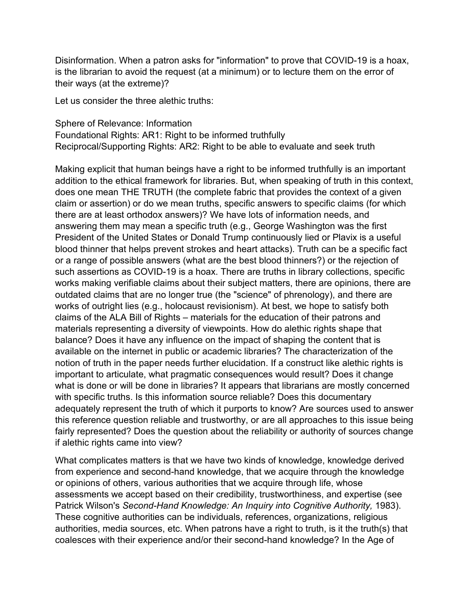Disinformation. When a patron asks for "information" to prove that COVID-19 is a hoax, is the librarian to avoid the request (at a minimum) or to lecture them on the error of their ways (at the extreme)?

Let us consider the three alethic truths:

Sphere of Relevance: Information Foundational Rights: AR1: Right to be informed truthfully Reciprocal/Supporting Rights: AR2: Right to be able to evaluate and seek truth

Making explicit that human beings have a right to be informed truthfully is an important addition to the ethical framework for libraries. But, when speaking of truth in this context, does one mean THE TRUTH (the complete fabric that provides the context of a given claim or assertion) or do we mean truths, specific answers to specific claims (for which there are at least orthodox answers)? We have lots of information needs, and answering them may mean a specific truth (e.g., George Washington was the first President of the United States or Donald Trump continuously lied or Plavix is a useful blood thinner that helps prevent strokes and heart attacks). Truth can be a specific fact or a range of possible answers (what are the best blood thinners?) or the rejection of such assertions as COVID-19 is a hoax. There are truths in library collections, specific works making verifiable claims about their subject matters, there are opinions, there are outdated claims that are no longer true (the "science" of phrenology), and there are works of outright lies (e.g., holocaust revisionism). At best, we hope to satisfy both claims of the ALA Bill of Rights – materials for the education of their patrons and materials representing a diversity of viewpoints. How do alethic rights shape that balance? Does it have any influence on the impact of shaping the content that is available on the internet in public or academic libraries? The characterization of the notion of truth in the paper needs further elucidation. If a construct like alethic rights is important to articulate, what pragmatic consequences would result? Does it change what is done or will be done in libraries? It appears that librarians are mostly concerned with specific truths. Is this information source reliable? Does this documentary adequately represent the truth of which it purports to know? Are sources used to answer this reference question reliable and trustworthy, or are all approaches to this issue being fairly represented? Does the question about the reliability or authority of sources change if alethic rights came into view?

What complicates matters is that we have two kinds of knowledge, knowledge derived from experience and second-hand knowledge, that we acquire through the knowledge or opinions of others, various authorities that we acquire through life, whose assessments we accept based on their credibility, trustworthiness, and expertise (see Patrick Wilson's *Second-Hand Knowledge: An Inquiry into Cognitive Authority,* 1983). These cognitive authorities can be individuals, references, organizations, religious authorities, media sources, etc. When patrons have a right to truth, is it the truth(s) that coalesces with their experience and/or their second-hand knowledge? In the Age of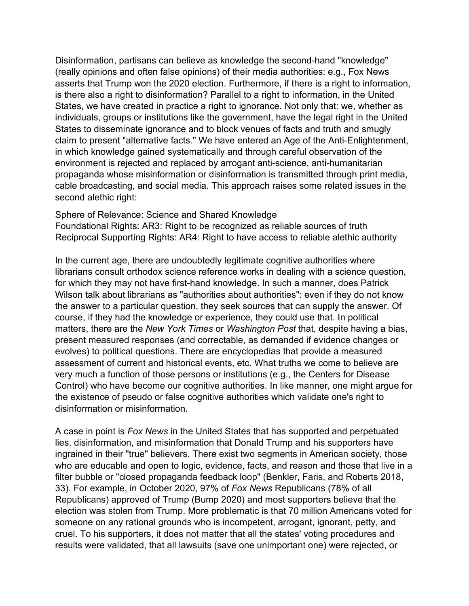Disinformation, partisans can believe as knowledge the second-hand "knowledge" (really opinions and often false opinions) of their media authorities: e.g., Fox News asserts that Trump won the 2020 election. Furthermore, if there is a right to information, is there also a right to disinformation? Parallel to a right to information, in the United States, we have created in practice a right to ignorance. Not only that: we, whether as individuals, groups or institutions like the government, have the legal right in the United States to disseminate ignorance and to block venues of facts and truth and smugly claim to present "alternative facts." We have entered an Age of the Anti-Enlightenment, in which knowledge gained systematically and through careful observation of the environment is rejected and replaced by arrogant anti-science, anti-humanitarian propaganda whose misinformation or disinformation is transmitted through print media, cable broadcasting, and social media. This approach raises some related issues in the second alethic right:

## Sphere of Relevance: Science and Shared Knowledge

Foundational Rights: AR3: Right to be recognized as reliable sources of truth Reciprocal Supporting Rights: AR4: Right to have access to reliable alethic authority

In the current age, there are undoubtedly legitimate cognitive authorities where librarians consult orthodox science reference works in dealing with a science question, for which they may not have first-hand knowledge. In such a manner, does Patrick Wilson talk about librarians as "authorities about authorities": even if they do not know the answer to a particular question, they seek sources that can supply the answer. Of course, if they had the knowledge or experience, they could use that. In political matters, there are the *New York Times* or *Washington Post* that, despite having a bias, present measured responses (and correctable, as demanded if evidence changes or evolves) to political questions. There are encyclopedias that provide a measured assessment of current and historical events, etc. What truths we come to believe are very much a function of those persons or institutions (e.g., the Centers for Disease Control) who have become our cognitive authorities. In like manner, one might argue for the existence of pseudo or false cognitive authorities which validate one's right to disinformation or misinformation.

A case in point is *Fox News* in the United States that has supported and perpetuated lies, disinformation, and misinformation that Donald Trump and his supporters have ingrained in their "true" believers. There exist two segments in American society, those who are educable and open to logic, evidence, facts, and reason and those that live in a filter bubble or "closed propaganda feedback loop" (Benkler, Faris, and Roberts 2018, 33). For example, in October 2020, 97% of *Fox News* Republicans (78% of all Republicans) approved of Trump (Bump 2020) and most supporters believe that the election was stolen from Trump. More problematic is that 70 million Americans voted for someone on any rational grounds who is incompetent, arrogant, ignorant, petty, and cruel. To his supporters, it does not matter that all the states' voting procedures and results were validated, that all lawsuits (save one unimportant one) were rejected, or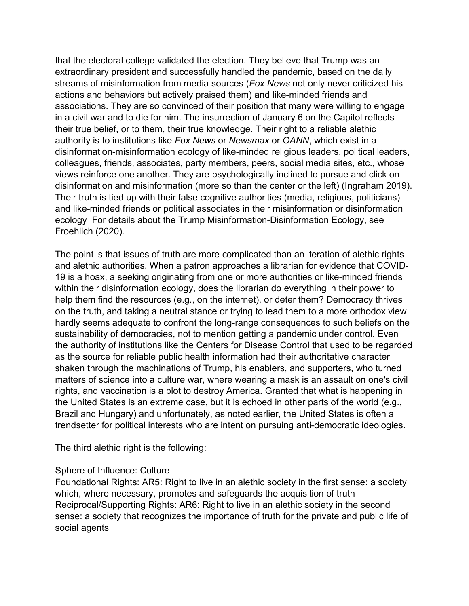that the electoral college validated the election. They believe that Trump was an extraordinary president and successfully handled the pandemic, based on the daily streams of misinformation from media sources (*Fox News* not only never criticized his actions and behaviors but actively praised them) and like-minded friends and associations. They are so convinced of their position that many were willing to engage in a civil war and to die for him. The insurrection of January 6 on the Capitol reflects their true belief, or to them, their true knowledge. Their right to a reliable alethic authority is to institutions like *Fox News* or *Newsmax* or *OANN*, which exist in a disinformation-misinformation ecology of like-minded religious leaders, political leaders, colleagues, friends, associates, party members, peers, social media sites, etc., whose views reinforce one another. They are psychologically inclined to pursue and click on disinformation and misinformation (more so than the center or the left) (Ingraham 2019). Their truth is tied up with their false cognitive authorities (media, religious, politicians) and like-minded friends or political associates in their misinformation or disinformation ecology For details about the Trump Misinformation-Disinformation Ecology, see Froehlich (2020).

The point is that issues of truth are more complicated than an iteration of alethic rights and alethic authorities. When a patron approaches a librarian for evidence that COVID-19 is a hoax, a seeking originating from one or more authorities or like-minded friends within their disinformation ecology, does the librarian do everything in their power to help them find the resources (e.g., on the internet), or deter them? Democracy thrives on the truth, and taking a neutral stance or trying to lead them to a more orthodox view hardly seems adequate to confront the long-range consequences to such beliefs on the sustainability of democracies, not to mention getting a pandemic under control. Even the authority of institutions like the Centers for Disease Control that used to be regarded as the source for reliable public health information had their authoritative character shaken through the machinations of Trump, his enablers, and supporters, who turned matters of science into a culture war, where wearing a mask is an assault on one's civil rights, and vaccination is a plot to destroy America. Granted that what is happening in the United States is an extreme case, but it is echoed in other parts of the world (e.g., Brazil and Hungary) and unfortunately, as noted earlier, the United States is often a trendsetter for political interests who are intent on pursuing anti-democratic ideologies.

The third alethic right is the following:

## Sphere of Influence: Culture

Foundational Rights: AR5: Right to live in an alethic society in the first sense: a society which, where necessary, promotes and safeguards the acquisition of truth Reciprocal/Supporting Rights: AR6: Right to live in an alethic society in the second sense: a society that recognizes the importance of truth for the private and public life of social agents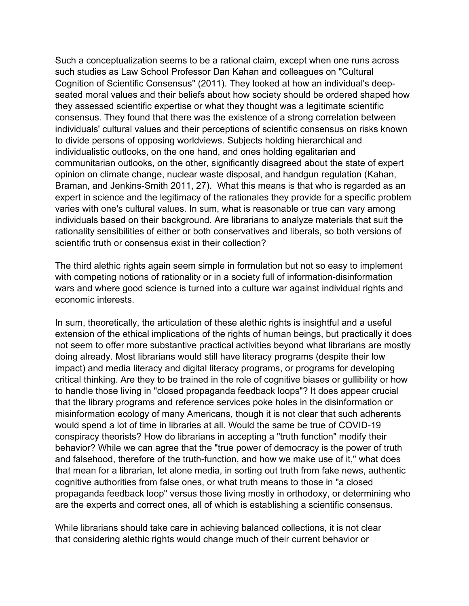Such a conceptualization seems to be a rational claim, except when one runs across such studies as Law School Professor Dan Kahan and colleagues on "Cultural Cognition of Scientific Consensus" (2011). They looked at how an individual's deepseated moral values and their beliefs about how society should be ordered shaped how they assessed scientific expertise or what they thought was a legitimate scientific consensus. They found that there was the existence of a strong correlation between individuals' cultural values and their perceptions of scientific consensus on risks known to divide persons of opposing worldviews. Subjects holding hierarchical and individualistic outlooks, on the one hand, and ones holding egalitarian and communitarian outlooks, on the other, significantly disagreed about the state of expert opinion on climate change, nuclear waste disposal, and handgun regulation (Kahan, Braman, and Jenkins-Smith 2011, 27). What this means is that who is regarded as an expert in science and the legitimacy of the rationales they provide for a specific problem varies with one's cultural values. In sum, what is reasonable or true can vary among individuals based on their background. Are librarians to analyze materials that suit the rationality sensibilities of either or both conservatives and liberals, so both versions of scientific truth or consensus exist in their collection?

The third alethic rights again seem simple in formulation but not so easy to implement with competing notions of rationality or in a society full of information-disinformation wars and where good science is turned into a culture war against individual rights and economic interests.

In sum, theoretically, the articulation of these alethic rights is insightful and a useful extension of the ethical implications of the rights of human beings, but practically it does not seem to offer more substantive practical activities beyond what librarians are mostly doing already. Most librarians would still have literacy programs (despite their low impact) and media literacy and digital literacy programs, or programs for developing critical thinking. Are they to be trained in the role of cognitive biases or gullibility or how to handle those living in "closed propaganda feedback loops"? It does appear crucial that the library programs and reference services poke holes in the disinformation or misinformation ecology of many Americans, though it is not clear that such adherents would spend a lot of time in libraries at all. Would the same be true of COVID-19 conspiracy theorists? How do librarians in accepting a "truth function" modify their behavior? While we can agree that the "true power of democracy is the power of truth and falsehood, therefore of the truth-function, and how we make use of it," what does that mean for a librarian, let alone media, in sorting out truth from fake news, authentic cognitive authorities from false ones, or what truth means to those in "a closed propaganda feedback loop" versus those living mostly in orthodoxy, or determining who are the experts and correct ones, all of which is establishing a scientific consensus.

While librarians should take care in achieving balanced collections, it is not clear that considering alethic rights would change much of their current behavior or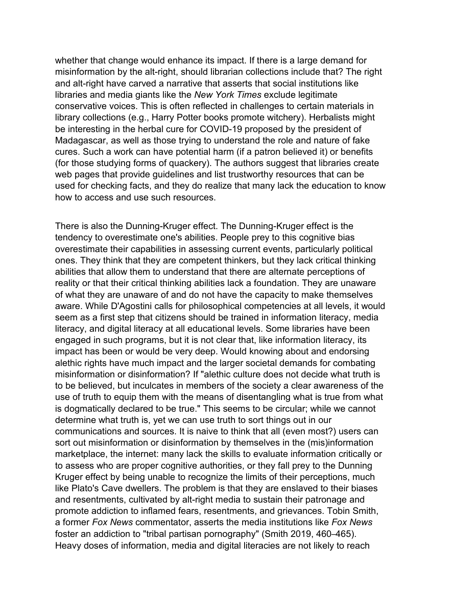whether that change would enhance its impact. If there is a large demand for misinformation by the alt-right, should librarian collections include that? The right and alt-right have carved a narrative that asserts that social institutions like libraries and media giants like the *New York Times* exclude legitimate conservative voices. This is often reflected in challenges to certain materials in library collections (e.g., Harry Potter books promote witchery). Herbalists might be interesting in the herbal cure for COVID-19 proposed by the president of Madagascar, as well as those trying to understand the role and nature of fake cures. Such a work can have potential harm (if a patron believed it) or benefits (for those studying forms of quackery). The authors suggest that libraries create web pages that provide guidelines and list trustworthy resources that can be used for checking facts, and they do realize that many lack the education to know how to access and use such resources.

There is also the Dunning-Kruger effect. The Dunning-Kruger effect is the tendency to overestimate one's abilities. People prey to this cognitive bias overestimate their capabilities in assessing current events, particularly political ones. They think that they are competent thinkers, but they lack critical thinking abilities that allow them to understand that there are alternate perceptions of reality or that their critical thinking abilities lack a foundation. They are unaware of what they are unaware of and do not have the capacity to make themselves aware. While D'Agostini calls for philosophical competencies at all levels, it would seem as a first step that citizens should be trained in information literacy, media literacy, and digital literacy at all educational levels. Some libraries have been engaged in such programs, but it is not clear that, like information literacy, its impact has been or would be very deep. Would knowing about and endorsing alethic rights have much impact and the larger societal demands for combating misinformation or disinformation? If "alethic culture does not decide what truth is to be believed, but inculcates in members of the society a clear awareness of the use of truth to equip them with the means of disentangling what is true from what is dogmatically declared to be true." This seems to be circular; while we cannot determine what truth is, yet we can use truth to sort things out in our communications and sources. It is naive to think that all (even most?) users can sort out misinformation or disinformation by themselves in the (mis)information marketplace, the internet: many lack the skills to evaluate information critically or to assess who are proper cognitive authorities, or they fall prey to the Dunning Kruger effect by being unable to recognize the limits of their perceptions, much like Plato's Cave dwellers. The problem is that they are enslaved to their biases and resentments, cultivated by alt-right media to sustain their patronage and promote addiction to inflamed fears, resentments, and grievances. Tobin Smith, a former *Fox News* commentator, asserts the media institutions like *Fox News* foster an addiction to "tribal partisan pornography" (Smith 2019, 460–465). Heavy doses of information, media and digital literacies are not likely to reach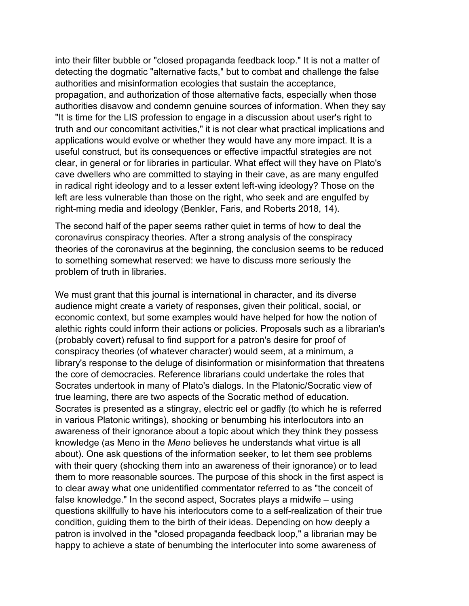into their filter bubble or "closed propaganda feedback loop." It is not a matter of detecting the dogmatic "alternative facts," but to combat and challenge the false authorities and misinformation ecologies that sustain the acceptance, propagation, and authorization of those alternative facts, especially when those authorities disavow and condemn genuine sources of information. When they say "It is time for the LIS profession to engage in a discussion about user's right to truth and our concomitant activities," it is not clear what practical implications and applications would evolve or whether they would have any more impact. It is a useful construct, but its consequences or effective impactful strategies are not clear, in general or for libraries in particular. What effect will they have on Plato's cave dwellers who are committed to staying in their cave, as are many engulfed in radical right ideology and to a lesser extent left-wing ideology? Those on the left are less vulnerable than those on the right, who seek and are engulfed by right-ming media and ideology (Benkler, Faris, and Roberts 2018, 14).

The second half of the paper seems rather quiet in terms of how to deal the coronavirus conspiracy theories. After a strong analysis of the conspiracy theories of the coronavirus at the beginning, the conclusion seems to be reduced to something somewhat reserved: we have to discuss more seriously the problem of truth in libraries.

We must grant that this journal is international in character, and its diverse audience might create a variety of responses, given their political, social, or economic context, but some examples would have helped for how the notion of alethic rights could inform their actions or policies. Proposals such as a librarian's (probably covert) refusal to find support for a patron's desire for proof of conspiracy theories (of whatever character) would seem, at a minimum, a library's response to the deluge of disinformation or misinformation that threatens the core of democracies. Reference librarians could undertake the roles that Socrates undertook in many of Plato's dialogs. In the Platonic/Socratic view of true learning, there are two aspects of the Socratic method of education. Socrates is presented as a stingray, electric eel or gadfly (to which he is referred in various Platonic writings), shocking or benumbing his interlocutors into an awareness of their ignorance about a topic about which they think they possess knowledge (as Meno in the *Meno* believes he understands what virtue is all about). One ask questions of the information seeker, to let them see problems with their query (shocking them into an awareness of their ignorance) or to lead them to more reasonable sources. The purpose of this shock in the first aspect is to clear away what one unidentified commentator referred to as "the conceit of false knowledge." In the second aspect, Socrates plays a midwife – using questions skillfully to have his interlocutors come to a self-realization of their true condition, guiding them to the birth of their ideas. Depending on how deeply a patron is involved in the "closed propaganda feedback loop," a librarian may be happy to achieve a state of benumbing the interlocuter into some awareness of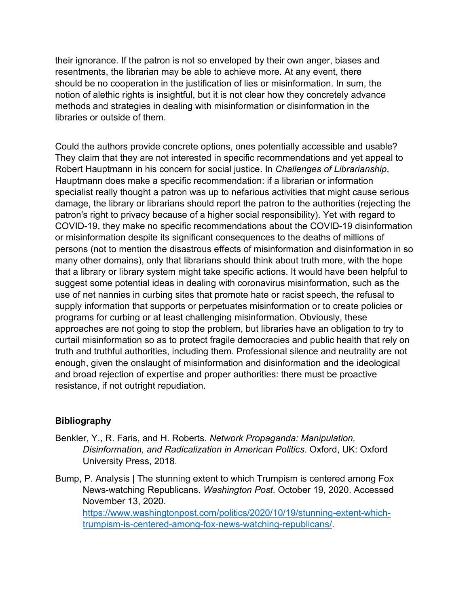their ignorance. If the patron is not so enveloped by their own anger, biases and resentments, the librarian may be able to achieve more. At any event, there should be no cooperation in the justification of lies or misinformation. In sum, the notion of alethic rights is insightful, but it is not clear how they concretely advance methods and strategies in dealing with misinformation or disinformation in the libraries or outside of them.

Could the authors provide concrete options, ones potentially accessible and usable? They claim that they are not interested in specific recommendations and yet appeal to Robert Hauptmann in his concern for social justice. In *Challenges of Librarianship*, Hauptmann does make a specific recommendation: if a librarian or information specialist really thought a patron was up to nefarious activities that might cause serious damage, the library or librarians should report the patron to the authorities (rejecting the patron's right to privacy because of a higher social responsibility). Yet with regard to COVID-19, they make no specific recommendations about the COVID-19 disinformation or misinformation despite its significant consequences to the deaths of millions of persons (not to mention the disastrous effects of misinformation and disinformation in so many other domains), only that librarians should think about truth more, with the hope that a library or library system might take specific actions. It would have been helpful to suggest some potential ideas in dealing with coronavirus misinformation, such as the use of net nannies in curbing sites that promote hate or racist speech, the refusal to supply information that supports or perpetuates misinformation or to create policies or programs for curbing or at least challenging misinformation. Obviously, these approaches are not going to stop the problem, but libraries have an obligation to try to curtail misinformation so as to protect fragile democracies and public health that rely on truth and truthful authorities, including them. Professional silence and neutrality are not enough, given the onslaught of misinformation and disinformation and the ideological and broad rejection of expertise and proper authorities: there must be proactive resistance, if not outright repudiation.

## **Bibliography**

- Benkler, Y., R. Faris, and H. Roberts. *Network Propaganda: Manipulation, Disinformation, and Radicalization in American Politics*. Oxford, UK: Oxford University Press, 2018.
- Bump, P. Analysis | The stunning extent to which Trumpism is centered among Fox News-watching Republicans. *Washington Post*. October 19, 2020. Accessed November 13, 2020. [https://www.washingtonpost.com/politics/2020/10/19/stunning-extent-which](https://www.washingtonpost.com/politics/2020/10/19/stunning-extent-which-trumpism-is-centered-among-fox-news-watching-republicans/)[trumpism-is-centered-among-fox-news-watching-republicans/.](https://www.washingtonpost.com/politics/2020/10/19/stunning-extent-which-trumpism-is-centered-among-fox-news-watching-republicans/)